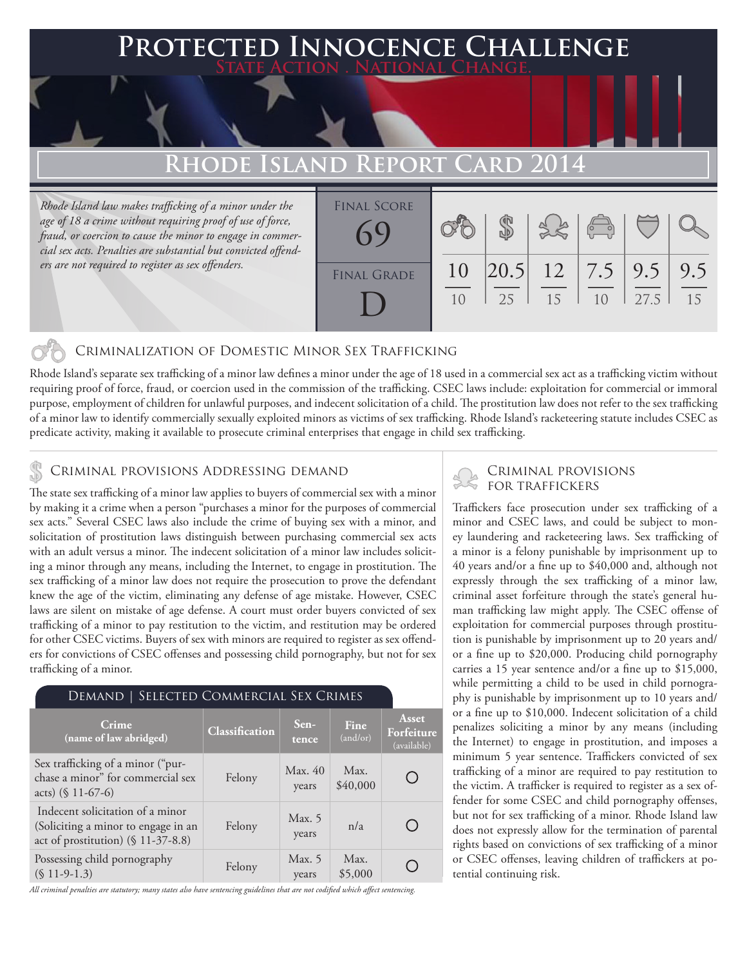# **FD INNOCENCE CHALLENGE State Action . National Change.**

## **Rhode Island Report Card**

*Rhode Island law makes trafficking of a minor under the age of 18 a crime without requiring proof of use of force, fraud, or coercion to cause the minor to engage in commercial sex acts. Penalties are substantial but convicted offenders are not required to register as sex offenders.*

| <b>FINAL SCORE</b> |          |    | 3860 |    |      |    |
|--------------------|----------|----|------|----|------|----|
| <b>FINAL GRADE</b> | 10<br>10 | 25 | 15   | 10 | 27.5 | 15 |

#### Criminalization of Domestic Minor Sex Trafficking

Rhode Island's separate sex trafficking of a minor law defines a minor under the age of 18 used in a commercial sex act as a trafficking victim without requiring proof of force, fraud, or coercion used in the commission of the trafficking. CSEC laws include: exploitation for commercial or immoral purpose, employment of children for unlawful purposes, and indecent solicitation of a child. The prostitution law does not refer to the sex trafficking of a minor law to identify commercially sexually exploited minors as victims of sex trafficking. Rhode Island's racketeering statute includes CSEC as predicate activity, making it available to prosecute criminal enterprises that engage in child sex trafficking.

## CRIMINAL PROVISIONS ADDRESSING DEMAND<br>FOR TRAFFICKERS

The state sex trafficking of a minor law applies to buyers of commercial sex with a minor by making it a crime when a person "purchases a minor for the purposes of commercial sex acts." Several CSEC laws also include the crime of buying sex with a minor, and solicitation of prostitution laws distinguish between purchasing commercial sex acts with an adult versus a minor. The indecent solicitation of a minor law includes soliciting a minor through any means, including the Internet, to engage in prostitution. The sex trafficking of a minor law does not require the prosecution to prove the defendant knew the age of the victim, eliminating any defense of age mistake. However, CSEC laws are silent on mistake of age defense. A court must order buyers convicted of sex trafficking of a minor to pay restitution to the victim, and restitution may be ordered for other CSEC victims. Buyers of sex with minors are required to register as sex offenders for convictions of CSEC offenses and possessing child pornography, but not for sex trafficking of a minor.

#### Demand | Selected Commercial Sex Crimes

| Crime<br>(name of law abridged)                                                                                  | Classification | Sen-<br>tence     | Fine<br>(and/or) | Asset<br>Forfeiture<br>(available) |
|------------------------------------------------------------------------------------------------------------------|----------------|-------------------|------------------|------------------------------------|
| Sex trafficking of a minor ("pur-<br>chase a minor" for commercial sex<br>acts) $(\$ 11-67-6)$                   | Felony         | Max. 40<br>years  | Max.<br>\$40,000 |                                    |
| Indecent solicitation of a minor<br>(Soliciting a minor to engage in an<br>act of prostitution) $(\$ 11-37-8.8)$ | Felony         | Max. $5$<br>years | n/a              |                                    |
| Possessing child pornography<br>$(S 11-9-1.3)$                                                                   | Felony         | Max. $5$<br>years | Max.<br>\$5,000  |                                    |

*All criminal penalties are statutory; many states also have sentencing guidelines that are not codified which affect sentencing.* 

# Criminal provisions

Traffickers face prosecution under sex trafficking of a minor and CSEC laws, and could be subject to money laundering and racketeering laws. Sex trafficking of a minor is a felony punishable by imprisonment up to 40 years and/or a fine up to \$40,000 and, although not expressly through the sex trafficking of a minor law, criminal asset forfeiture through the state's general human trafficking law might apply. The CSEC offense of exploitation for commercial purposes through prostitution is punishable by imprisonment up to 20 years and/ or a fine up to \$20,000. Producing child pornography carries a 15 year sentence and/or a fine up to \$15,000, while permitting a child to be used in child pornography is punishable by imprisonment up to 10 years and/ or a fine up to \$10,000. Indecent solicitation of a child penalizes soliciting a minor by any means (including the Internet) to engage in prostitution, and imposes a minimum 5 year sentence. Traffickers convicted of sex trafficking of a minor are required to pay restitution to the victim. A trafficker is required to register as a sex offender for some CSEC and child pornography offenses, but not for sex trafficking of a minor. Rhode Island law does not expressly allow for the termination of parental rights based on convictions of sex trafficking of a minor or CSEC offenses, leaving children of traffickers at potential continuing risk.